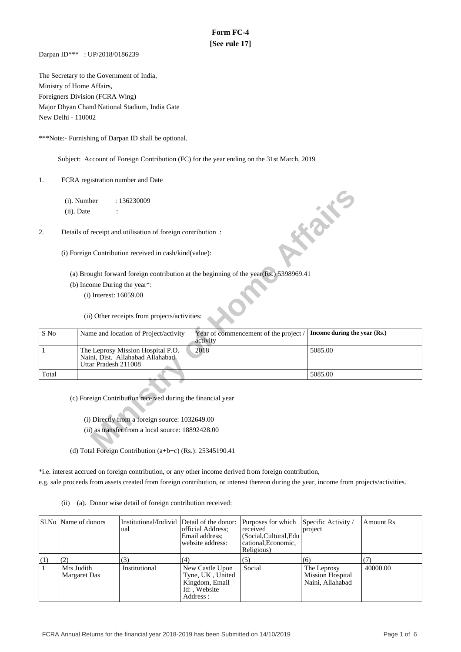# **Form FC-4 [See rule 17]**

Darpan ID\*\*\* : UP/2018/0186239

The Secretary to the Government of India, Ministry of Home Affairs, Foreigners Division (FCRA Wing) Major Dhyan Chand National Stadium, India Gate New Delhi - 110002

\*\*\*Note:- Furnishing of Darpan ID shall be optional.

Subject: Account of Foreign Contribution (FC) for the year ending on the 31st March, 2019

1. FCRA registration number and Date

|              | $(ii)$ . Date | $(i)$ . Number         | : 136230009                                                                                                                                                        |                                                                                       | <b>FORE</b>                  |
|--------------|---------------|------------------------|--------------------------------------------------------------------------------------------------------------------------------------------------------------------|---------------------------------------------------------------------------------------|------------------------------|
| 2.           |               |                        | Details of receipt and utilisation of foreign contribution:                                                                                                        |                                                                                       |                              |
|              |               |                        | (i) Foreign Contribution received in cash/kind(value):                                                                                                             |                                                                                       |                              |
|              |               |                        |                                                                                                                                                                    | (a) Brought forward foreign contribution at the beginning of the year(Rs.) 5398969.41 |                              |
|              |               |                        | (b) Income During the year*:                                                                                                                                       |                                                                                       |                              |
|              |               | (i) Interest: 16059.00 |                                                                                                                                                                    |                                                                                       |                              |
|              |               |                        | (ii) Other receipts from projects/activities:                                                                                                                      |                                                                                       |                              |
| S No         |               |                        | Name and location of Project/activity                                                                                                                              | Year of commencement of the project /<br>activity                                     | Income during the year (Rs.) |
| $\mathbf{1}$ |               | Uttar Pradesh 211008   | The Leprosy Mission Hospital P.O.<br>Naini, Dist. Allahabad Allahabad                                                                                              | 2018                                                                                  | 5085.00                      |
| Total        |               |                        |                                                                                                                                                                    |                                                                                       | 5085.00                      |
|              |               |                        | (c) Foreign Contribution received during the financial year<br>(i) Directly from a foreign source: 1032649.00<br>(ii) as transfer from a local source: 18892428.00 |                                                                                       |                              |
|              |               |                        | (d) Total Foreign Contribution (a $\mathbf{b}(\mathbf{c})$ ( $\mathbf{D}\mathbf{c}$ ): 25345100 41                                                                 |                                                                                       |                              |

(d) Total Foreign Contribution (a+b+c) (Rs.): 25345190.41

\*i.e. interest accrued on foreign contribution, or any other income derived from foreign contribution,

e.g. sale proceeds from assets created from foreign contribution, or interest thereon during the year, income from projects/activities.

(ii) (a). Donor wise detail of foreign contribution received:

|                | Sl.No   Name of donors     | Institutional/Individ Detail of the donor:<br>ual | official Address:<br>Email address;<br>website address:                            | Purposes for which Specific Activity /<br>received<br>(Social, Cultural, Edu<br>cational. Economic.<br>Religious) | project                                                    | Amount Rs |
|----------------|----------------------------|---------------------------------------------------|------------------------------------------------------------------------------------|-------------------------------------------------------------------------------------------------------------------|------------------------------------------------------------|-----------|
| <sup>(1)</sup> |                            | (3)                                               | (4)                                                                                | (5)                                                                                                               | (6)                                                        |           |
|                | Mrs Judith<br>Margaret Das | Institutional                                     | New Castle Upon<br>Tyne, UK, United<br>Kingdom, Email<br>Id:, Website<br>Address : | Social                                                                                                            | The Leprosy<br><b>Mission Hospital</b><br>Naini, Allahabad | 40000.00  |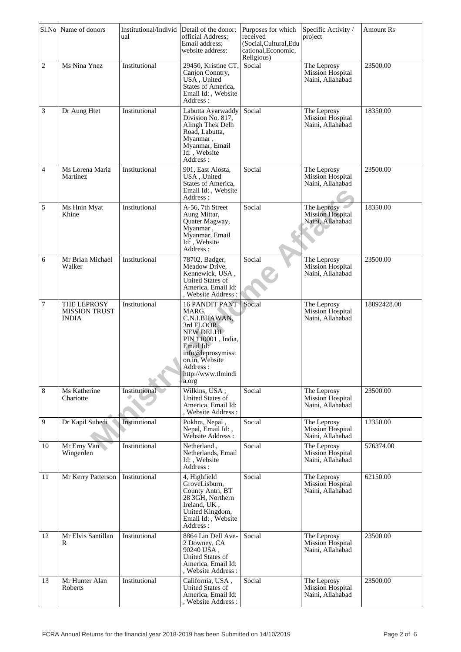|                | Sl.No Name of donors                                | Institutional/Individ Detail of the donor:<br>ual | official Address;<br>Email address:<br>website address:                                                                                                                                         | Purposes for which<br>received<br>(Social, Cultural, Edu<br>cational, Economic,<br>Religious) | Specific Activity /<br>project                             | <b>Amount Rs</b> |
|----------------|-----------------------------------------------------|---------------------------------------------------|-------------------------------------------------------------------------------------------------------------------------------------------------------------------------------------------------|-----------------------------------------------------------------------------------------------|------------------------------------------------------------|------------------|
| $\overline{c}$ | Ms Nina Ynez                                        | Institutional                                     | 29450, Kristine CT,<br>Canjon Conntry,<br>USÅ, United<br>States of America,<br>Email Id:, Website<br>Address:                                                                                   | Social                                                                                        | The Leprosy<br>Mission Hospital<br>Naini, Allahabad        | 23500.00         |
| 3              | Dr Aung Htet                                        | Institutional                                     | Labutta Ayarwaddy<br>Division No. 817,<br>Alingh Thek Delh<br>Road, Labutta,<br>Myanmar,<br>Myanmar, Email<br>Id: Website<br>Address:                                                           | Social                                                                                        | The Leprosy<br>Mission Hospital<br>Naini, Allahabad        | 18350.00         |
| 4              | Ms Lorena Maria<br>Martinez                         | Institutional                                     | 901, East Alosta,<br>USA, United<br>States of America,<br>Email Id:, Website<br>Address:                                                                                                        | Social                                                                                        | The Leprosy<br><b>Mission Hospital</b><br>Naini, Allahabad | 23500.00         |
| 5              | Ms Hnin Myat<br>Khine                               | Institutional                                     | A-56, 7th Street<br>Aung Mittar,<br>Quater Magway,<br>Myanmar,<br>Myanmar, Email<br>Id:, Website<br>Address:                                                                                    | Social                                                                                        | The Leprosy<br><b>Mission Hospital</b><br>Naini, Allahabad | 18350.00         |
| 6              | Mr Brian Michael<br>Walker                          | Institutional                                     | 78702, Badger,<br>Meadow Drive,<br>Kennewick, USA,<br>United States of<br>America, Email Id:<br>, Website Address :                                                                             | Social                                                                                        | The Leprosy<br>Mission Hospital<br>Naini, Allahabad        | 23500.00         |
| 7              | THE LEPROSY<br><b>MISSION TRUST</b><br><b>INDIA</b> | Institutional                                     | 16 PANDIT PANT<br>MARG,<br>C.N.I.BHAWAN,<br>3rd FLOOR,<br><b>NEW DELHI</b><br>PIN 110001, India,<br>Email Id:<br>info@leprosymissi<br>on.in, Website<br>Address:<br>http://www.tlmindi<br>a.org | Social                                                                                        | The Leprosy<br><b>Mission Hospital</b><br>Naini, Allahabad | 18892428.00      |
| 8              | Ms Katherine<br>Chariotte                           | Institutional                                     | Wilkins, USA,<br>United States of<br>America, Email Id:<br>Website Address:                                                                                                                     | Social                                                                                        | The Leprosy<br>Mission Hospital<br>Naini, Allahabad        | 23500.00         |
| 9              | Dr Kapil Subedi                                     | Institutional                                     | Pokhra, Nepal,<br>Nepal, Email Id:,<br>Website Address:                                                                                                                                         | Social                                                                                        | The Leprosy<br>Mission Hospital<br>Naini, Allahabad        | 12350.00         |
| 10             | Mr Erny Van<br>Wingerden                            | Institutional                                     | Netherland,<br>Netherlands, Email<br>Id: Website<br>Address:                                                                                                                                    | Social                                                                                        | The Leprosy<br>Mission Hospital<br>Naini, Allahabad        | 576374.00        |
| 11             | Mr Kerry Patterson                                  | Institutional                                     | 4, Highfield<br>GroveLisburn,<br>County Antri, BT<br>28 3GH, Northern<br>Ireland, UK,<br>United Kingdom,<br>Email Id:, Website<br>Address:                                                      | Social                                                                                        | The Leprosy<br>Mission Hospital<br>Naini, Allahabad        | 62150.00         |
| 12             | Mr Elvis Santillan<br>R                             | Institutional                                     | 8864 Lin Dell Ave-<br>2 Downey, CA<br>90240 USA,<br><b>United States of</b><br>America, Email Id:<br>, Website Address :                                                                        | Social                                                                                        | The Leprosy<br><b>Mission Hospital</b><br>Naini, Allahabad | 23500.00         |
| 13             | Mr Hunter Alan<br>Roberts                           | Institutional                                     | California, USA,<br>United States of<br>America, Email Id:<br>, Website Address :                                                                                                               | Social                                                                                        | The Leprosy<br><b>Mission Hospital</b><br>Naini, Allahabad | 23500.00         |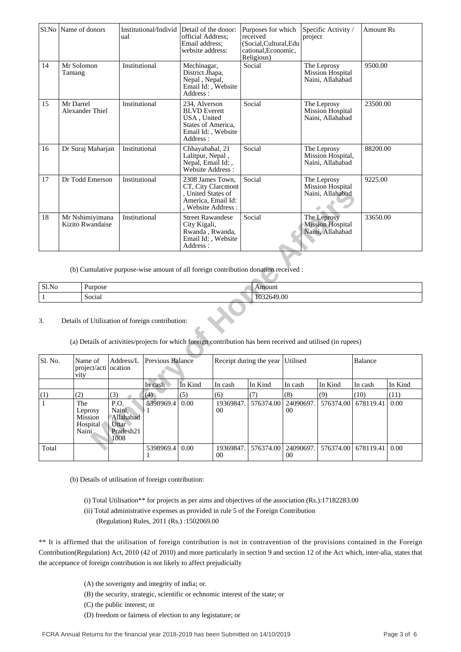| Sl.No | Name of donors                      | Institutional/Individ<br>ual | Detail of the donor:<br>official Address:<br>Email address:<br>website address:                             | Purposes for which<br>received<br>(Social,Cultural,Edu<br>cational, Economic,<br>Religious) | Specific Activity /<br>project                             | <b>Amount Rs</b> |
|-------|-------------------------------------|------------------------------|-------------------------------------------------------------------------------------------------------------|---------------------------------------------------------------------------------------------|------------------------------------------------------------|------------------|
| 14    | Mr Solomon<br>Tamang                | Institutional                | Mechinagar,<br>District Jhapa,<br>Nepal, Nepal,<br>Email Id:, Website<br>Address:                           | Social                                                                                      | The Leprosy<br><b>Mission Hospital</b><br>Naini, Allahabad | 9500.00          |
| 15    | Mr Darrel<br>Alexander Thiel        | Institutional                | 234. Alverson<br><b>BLVD</b> Everett<br>USA, United<br>States of America,<br>Email Id:, Website<br>Address: | Social                                                                                      | The Leprosy<br><b>Mission Hospital</b><br>Naini, Allahabad | 23500.00         |
| 16    | Dr Suraj Maharjan                   | Institutional                | Chhayabahal, 21<br>Lalitpur, Nepal,<br>Nepal, Email Id:,<br>Website Address:                                | Social                                                                                      | The Leprosy<br>Mission Hospital,<br>Naini, Allahabad       | 88200.00         |
| 17    | Dr Todd Emerson                     | Institutional                | 2308 James Town.<br>CT, City Claremont<br>, United States of<br>America, Email Id:<br>. Website Address:    | Social                                                                                      | The Leprosy<br>Mission Hospital<br>Naini, Allahabad        | 9225.00          |
| 18    | Mr Nshimiyimana<br>Kizito Rwandaise | Institutional                | <b>Street Rawandese</b><br>City Kigali,<br>Rwanda, Rwanda,<br>Email Id:, Website<br>Address:                | Social                                                                                      | The Leprosy<br><b>Mission Hospital</b><br>Naini, Allahabad | 33650.00         |

| Sl.No | $\mathbf{r}$<br>Purpose | Amount          |
|-------|-------------------------|-----------------|
|       | .<br>$\sim$<br>Social   | 19.00<br>103264 |

## 3. Details of Utilization of foreign contribution:

|              |                                     |                                 |                                                                  |                                                 | , United States of<br>America, Email Id:<br>, Website Address:                               |                     |                                                                                                              |                              | Naini, Allahabad                                           |                |         |
|--------------|-------------------------------------|---------------------------------|------------------------------------------------------------------|-------------------------------------------------|----------------------------------------------------------------------------------------------|---------------------|--------------------------------------------------------------------------------------------------------------|------------------------------|------------------------------------------------------------|----------------|---------|
| 18           | Mr Nshimiyimana<br>Kizito Rwandaise |                                 | Institutional                                                    |                                                 | <b>Street Rawandese</b><br>City Kigali,<br>Rwanda, Rwanda,<br>Email Id:, Website<br>Address: |                     | Social                                                                                                       |                              | The Leprosy<br><b>Mission Hospital</b><br>Naini, Allahabad | 33650.00       |         |
|              |                                     |                                 |                                                                  |                                                 |                                                                                              |                     | (b) Cumulative purpose-wise amount of all foreign contribution donation received :                           |                              |                                                            |                |         |
| Sl.No        |                                     | Purpose                         |                                                                  |                                                 |                                                                                              |                     | Amount                                                                                                       |                              |                                                            |                |         |
| $\mathbf{1}$ |                                     | Social                          |                                                                  |                                                 |                                                                                              |                     | 1032649.00                                                                                                   |                              |                                                            |                |         |
| 3.           |                                     |                                 |                                                                  | Details of Utilization of foreign contribution: |                                                                                              |                     | (a) Details of activities/projects for which foreign contribution has been received and utilised (in rupees) |                              |                                                            |                |         |
| Sl. No.      | vity                                | Name of<br>project/acti ocation | Address/L                                                        | Previous Balance                                |                                                                                              |                     | Receipt during the year                                                                                      | Utilised                     |                                                            | <b>Balance</b> |         |
|              |                                     |                                 |                                                                  | In cash                                         | In Kind                                                                                      | In cash             | In Kind                                                                                                      | In cash                      | In Kind                                                    | In cash        | In Kind |
| (1)          | (2)                                 |                                 | (3)                                                              | (4)                                             | (5)                                                                                          | (6)                 | (7)                                                                                                          | (8)                          | (9)                                                        | (10)           | (11)    |
| 1            | The<br>Naini                        | Leprosy<br>Mission<br>Hospital  | P.O.<br>Naini,<br>Allahabad<br><b>Uttar</b><br>Pradesh21<br>1008 | 5398969.4<br>⊵1.                                | 0.00                                                                                         | 19369847.<br>$00\,$ | 576374.00                                                                                                    | 24090697.<br>00 <sup>0</sup> | 576374.00                                                  | 678119.41      | 0.00    |
| Total        |                                     |                                 |                                                                  | 5398969.4                                       | 0.00                                                                                         | 19369847<br>00      | 576374.00                                                                                                    | 24090697<br>00               | 576374.00                                                  | 678119.41      | 0.00    |

(b) Details of utilisation of foreign contribution:

- (i) Total Utilisation\*\* for projects as per aims and objectives of the association (Rs.):17182283.00
- (ii) Total administrative expenses as provided in rule 5 of the Foreign Contribution
	- (Regulation) Rules, 2011 (Rs.) :1502069.00

\*\* It is affirmed that the utilisation of foreign contribution is not in contravention of the provisions contained in the Foreign Contribution(Regulation) Act, 2010 (42 of 2010) and more particularly in section 9 and section 12 of the Act which, inter-alia, states that the acceptance of foreign contribution is not likely to affect prejudicially

- (A) the soverignty and integrity of india; or.
- (B) the security, strategic, scientific or echnomic interest of the state; or
- (C) the public interest; or
- (D) freedom or fairness of election to any legistature; or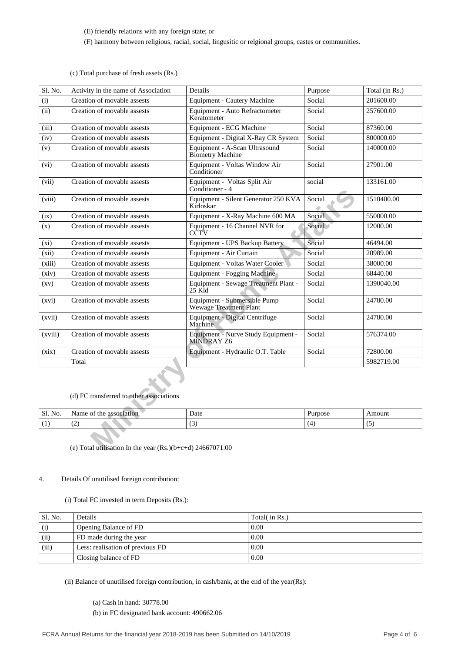(E) friendly relations with any foreign state; or

(F) harmony between religious, racial, social, lingusitic or relgional groups, castes or communities.

(c) Total purchase of fresh assets (Rs.)

| Sl. No. | Activity in the name of Association                          | Details                                                | Purpose | Total (in Rs.) |
|---------|--------------------------------------------------------------|--------------------------------------------------------|---------|----------------|
| (i)     | Creation of movable assests                                  | <b>Equipment - Cautery Machine</b>                     | Social  | 201600.00      |
| (ii)    | Creation of movable assests                                  | Equipment - Auto Refractometer<br>Keratometer          | Social  | 257600.00      |
| (iii)   | Creation of movable assests                                  | Equipment - ECG Machine                                | Social  | 87360.00       |
| (iv)    | Creation of movable assests                                  | Equipment - Digital X-Ray CR System                    | Social  | 800000.00      |
| (v)     | Creation of movable assests                                  | Equipment - A-Scan Ultrasound<br>Biometry Machine      | Social  | 140000.00      |
| $(v_i)$ | Creation of movable assests                                  | Equipment - Voltas Window Air<br>Conditioner           | Social  | 27901.00       |
| (vii)   | Creation of movable assests                                  | Equipment - Voltas Split Air<br>Conditioner - 4        | social  | 133161.00      |
| (viii)  | Creation of movable assests                                  | Equipment - Silent Generator 250 KVA<br>Kirloskar      | Social  | 1510400.00     |
| (ix)    | Creation of movable assests                                  | Equipment - X-Ray Machine 600 MA                       | Social  | 550000.00      |
| (x)     | Creation of movable assests                                  | Equipment - 16 Channel NVR for<br>CĈTV                 | Social  | 12000.00       |
| (xi)    | Creation of movable assests                                  | Equipment - UPS Backup Battery                         | Social  | 46494.00       |
| (xii)   | Creation of movable assests                                  | Equipment - Air Curtain                                | Social  | 20989.00       |
| (xiii)  | Creation of movable assests                                  | Equipment - Voltas Water Cooler                        | Social  | 38000.00       |
| (xiv)   | Creation of movable assests                                  | Equipment - Fogging Machine                            | Social  | 68440.00       |
| (xy)    | Creation of movable assests                                  | Equipment - Sewage Treatment Plant -<br>$25$ K $id$    | Social  | 1390040.00     |
| (xvi)   | Creation of movable assests                                  | Equipment - Submersible Pump<br>Wewage Treatment Plant | Social  | 24780.00       |
| (xvii)  | Creation of movable assests                                  | Equipment - Digital Centrifuge<br>Machine              | Social  | 24780.00       |
| (xviii) | Creation of movable assests                                  | Equipment - Nurve Study Equipment -<br>MINDRAY Z6      | Social  | 576374.00      |
| (xix)   | Creation of movable assests                                  | Equipment - Hydraulic O.T. Table                       | Social  | 72800.00       |
|         | Total                                                        |                                                        |         | 5982719.00     |
|         | (d) FC transferred to other associations                     |                                                        |         |                |
| Sl. No. | Name of the association                                      | Date                                                   | Purpose | Amount         |
| (1)     | (2)                                                          | (3)                                                    | (4)     | (5)            |
|         | (e) Total utilisation In the year $(Rs.)(b+c+d)$ 24667071.00 |                                                        |         |                |

(d) FC transferred to other associations

| $\sim$<br><b>SI.</b> No. | <b>Name</b><br>the<br>association<br>ОI | Date        | Purpose | Amount<br>$\begin{array}{c} \begin{array}{c} \begin{array}{c} \begin{array}{c} \end{array}\\ \end{array} \end{array} \end{array} \end{array} \end{array} \end{array} \begin{array}{c} \begin{array}{c} \begin{array}{c} \end{array} \end{array} \end{array} \begin{array}{c} \begin{array}{c} \begin{array}{c} \end{array} \end{array} \end{array} \end{array} \begin{array}{c} \begin{array}{c} \begin{array}{c} \end{array} \end{array} \end{array} \begin{array}{c} \begin{array}{c} \end{array} \end{array} \end{array} \begin{array}{c} \begin{array}{c} \$ |
|--------------------------|-----------------------------------------|-------------|---------|------------------------------------------------------------------------------------------------------------------------------------------------------------------------------------------------------------------------------------------------------------------------------------------------------------------------------------------------------------------------------------------------------------------------------------------------------------------------------------------------------------------------------------------------------------------|
|                          | ╰                                       | $\sim$<br>້ |         | ۰.                                                                                                                                                                                                                                                                                                                                                                                                                                                                                                                                                               |

## 4. Details Of unutilised foreign contribution:

(i) Total FC invested in term Deposits (Rs.):

| ' Sl. No. | Details                          | Total( in Rs.) |
|-----------|----------------------------------|----------------|
| (i)       | Opening Balance of FD            | 0.00           |
| (ii)      | FD made during the year          | 0.00           |
| (iii)     | Less: realisation of previous FD | 0.00           |
|           | Closing balance of FD            | 0.00           |

(ii) Balance of unutilised foreign contribution, in cash/bank, at the end of the year(Rs):

 (a) Cash in hand: 30778.00 (b) in FC designated bank account: 490662.06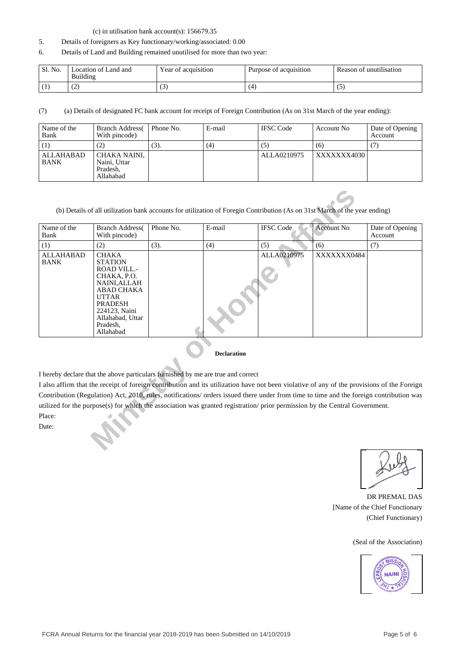#### (c) in utilisation bank account(s): 156679.35

- 5. Details of foreigners as Key functionary/working/associated: 0.00
- 6. Details of Land and Building remained unutilised for more than two year:

| Sl. No. | Location of Land and<br>Building | Year of acquisition | Purpose of acquisition | Reason of unutilisation |
|---------|----------------------------------|---------------------|------------------------|-------------------------|
|         | ت .                              | ιJ                  |                        |                         |

(7) (a) Details of designated FC bank account for receipt of Foreign Contribution (As on 31st March of the year ending):

| Name of the<br>Bank      | <b>Branch Address</b><br>With pincode)                | Phone No. | E-mail | <b>IFSC</b> Code | Account No  | Date of Opening<br>Account |
|--------------------------|-------------------------------------------------------|-----------|--------|------------------|-------------|----------------------------|
| (1)                      | (2)                                                   | (3).      | (4)    | ( ن              | (6)         |                            |
| ALLAHABAD<br><b>BANK</b> | CHAKA NAINI,<br>Naini, Uttar<br>Pradesh,<br>Allahabad |           |        | ALLA0210975      | XXXXXXX4030 |                            |

| Name of the<br>Bank             | <b>Branch Address</b><br>With pincode)                                                                                                                                                                   | Phone No. | E-mail             | <b>IFSC</b> Code                                                                                                                           | <b>Account No</b> | Date of Opening<br>Account |
|---------------------------------|----------------------------------------------------------------------------------------------------------------------------------------------------------------------------------------------------------|-----------|--------------------|--------------------------------------------------------------------------------------------------------------------------------------------|-------------------|----------------------------|
| (1)                             | (2)                                                                                                                                                                                                      | (3).      | (4)                | (5)                                                                                                                                        | (6)               | (7)                        |
| <b>ALLAHABAD</b><br><b>BANK</b> | <b>CHAKA</b><br><b>STATION</b><br><b>ROAD VILL.-</b><br>CHAKA, P.O.<br>NAINI, ALLAH<br><b>ABAD CHAKA</b><br><b>UTTAR</b><br><b>PRADESH</b><br>224123, Naini<br>Allahabad, Uttar<br>Pradesh,<br>Allahabad |           |                    | ALLA0210975                                                                                                                                | XXXXXXX0484       |                            |
|                                 |                                                                                                                                                                                                          |           | <b>Declaration</b> |                                                                                                                                            |                   |                            |
|                                 | I hereby declare that the above particulars furnished by me are true and correct                                                                                                                         |           |                    |                                                                                                                                            |                   |                            |
|                                 |                                                                                                                                                                                                          |           |                    | I also affirm that the receipt of foreign contribution and its utilization have not been violative of any of the provisions of the Foreign |                   |                            |
|                                 |                                                                                                                                                                                                          |           |                    | Contribution (Regulation) Act, 2010, rules, notifications/ orders issued there under from time to time and the foreign contribution was    |                   |                            |
|                                 |                                                                                                                                                                                                          |           |                    | utilized for the purpose(s) for which the association was granted registration/prior permission by the Central Government.                 |                   |                            |
| Place:                          |                                                                                                                                                                                                          |           |                    |                                                                                                                                            |                   |                            |
| Date:                           |                                                                                                                                                                                                          |           |                    |                                                                                                                                            |                   |                            |

#### **Declaration**

DR PREMAL DAS [Name of the Chief Functionary (Chief Functionary)

(Seal of the Association)